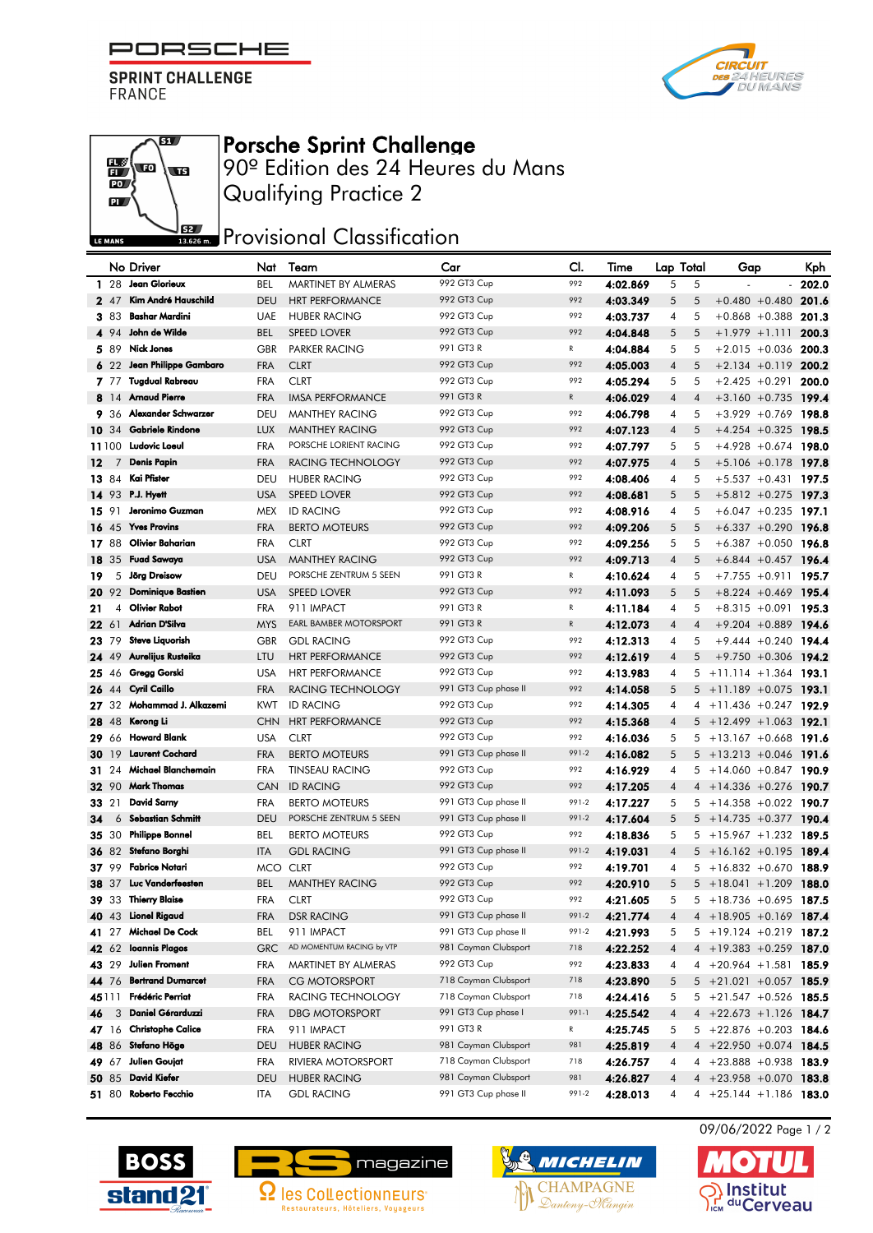PORSCHE F

**SPRINT CHALLENGE** FRANCE





LE MANS

## Porsche Sprint Challenge

90º Edition des 24 Heures du Mans Qualifying Practice 2

## **JERNAL PROVISIONAL Classification**

|       |       | No Driver                | Nat        | Team                      | Car                  | CI.          | Time     | Lap Total      |                | Gap                        | Kph   |
|-------|-------|--------------------------|------------|---------------------------|----------------------|--------------|----------|----------------|----------------|----------------------------|-------|
| 1     | 28    | Jean Glorieux            | <b>BEL</b> | MARTINET BY ALMERAS       | 992 GT3 Cup          | 992          | 4:02.869 | 5              | 5              |                            | 202.0 |
|       | 2 47  | Kim André Hauschild      | <b>DEU</b> | <b>HRT PERFORMANCE</b>    | 992 GT3 Cup          | 992          | 4:03.349 | 5              | 5              | $+0.480 + 0.480$           | 201.6 |
|       | 383   | <b>Bashar Mardini</b>    | <b>UAE</b> | <b>HUBER RACING</b>       | 992 GT3 Cup          | 992          | 4:03.737 | 4              | 5              | $+0.868 + 0.388$ 201.3     |       |
|       | 4 94  | John de Wilde            | <b>BEL</b> | <b>SPEED LOVER</b>        | 992 GT3 Cup          | 992          | 4:04.848 | 5              | 5              | $+1.979 +1.111$            | 200.3 |
|       | 589   | <b>Nick Jones</b>        | <b>GBR</b> | <b>PARKER RACING</b>      | 991 GT3 R            | R            | 4:04.884 | 5              | 5              | $+2.015 + 0.036$ 200.3     |       |
|       | 6 22  | Jean Philippe Gambaro    | <b>FRA</b> | <b>CLRT</b>               | 992 GT3 Cup          | 992          | 4:05.003 | $\overline{4}$ | 5              | $+2.134 +0.119$ 200.2      |       |
|       | 7 77  | <b>Tugdual Rabreau</b>   | <b>FRA</b> | <b>CLRT</b>               | 992 GT3 Cup          | 992          | 4:05.294 | 5              | 5              | $+2.425 +0.291$            | 200.0 |
| 8     | 14    | <b>Arnaud Pierre</b>     | <b>FRA</b> | <b>IMSA PERFORMANCE</b>   | 991 GT3 R            | $\mathbb{R}$ | 4:06.029 | $\overline{4}$ | $\overline{4}$ | $+3.160 + 0.735$ 199.4     |       |
|       | 9 36  | Alexander Schwarzer      | DEU        | <b>MANTHEY RACING</b>     | 992 GT3 Cup          | 992          | 4:06.798 | 4              | 5              | $+3.929 + 0.769$ 198.8     |       |
|       | 10 34 | <b>Gabriele Rindone</b>  | <b>LUX</b> | <b>MANTHEY RACING</b>     | 992 GT3 Cup          | 992          | 4:07.123 | 4              | 5              | $+4.254 + 0.325$ 198.5     |       |
|       | 11100 | Ludovic Loeul            | <b>FRA</b> | PORSCHE LORIENT RACING    | 992 GT3 Cup          | 992          | 4:07.797 | 5              | 5              | $+4.928 + 0.674$ 198.0     |       |
| 12    | 7     | <b>Denis Papin</b>       | <b>FRA</b> | <b>RACING TECHNOLOGY</b>  | 992 GT3 Cup          | 992          | 4:07.975 | $\overline{4}$ | 5              | $+5.106 + 0.178$ 197.8     |       |
|       | 13 84 | Kai Pfister              | DEU        | <b>HUBER RACING</b>       | 992 GT3 Cup          | 992          | 4:08.406 | 4              | 5              | $+5.537 +0.431$ 197.5      |       |
|       | 14 93 | P.J. Hyen                | <b>USA</b> | <b>SPEED LOVER</b>        | 992 GT3 Cup          | 992          | 4:08.681 | 5              | 5              | $+5.812 + 0.275$ 197.3     |       |
| 15,91 |       | Jeronimo Guzman          | <b>MEX</b> | <b>ID RACING</b>          | 992 GT3 Cup          | 992          | 4:08.916 | 4              | 5              | $+6.047 + 0.235$ 197.1     |       |
|       | 16 45 | <b>Yves Provins</b>      | <b>FRA</b> | <b>BERTO MOTEURS</b>      | 992 GT3 Cup          | 992          | 4:09.206 | 5              | 5              | $+6.337 +0.290$ 196.8      |       |
|       | 17 88 | <b>Olivier Baharian</b>  | <b>FRA</b> | <b>CLRT</b>               | 992 GT3 Cup          | 992          | 4:09.256 | 5              | 5              | $+6.387 +0.050$ 196.8      |       |
|       | 18 35 | <b>Fuad Sawaya</b>       | <b>USA</b> | <b>MANTHEY RACING</b>     | 992 GT3 Cup          | 992          | 4:09.713 | $\overline{4}$ | 5              | $+6.844 + 0.457$ 196.4     |       |
| 19    | 5     | <b>Jörg Dreisow</b>      | DEU        | PORSCHE ZENTRUM 5 SEEN    | 991 GT3 R            | R            | 4:10.624 | 4              | 5              | $+7.755 + 0.911$ 195.7     |       |
| 20    | 92    | <b>Dominique Bastien</b> | <b>USA</b> | <b>SPEED LOVER</b>        | 992 GT3 Cup          | 992          | 4:11.093 | 5              | 5              | $+8.224 + 0.469$           | 195.4 |
| 21    | 4     | <b>Olivier Rabot</b>     | <b>FRA</b> | 911 IMPACT                | 991 GT3 R            | R            | 4:11.184 | 4              | 5              | $+8.315 + 0.091$           | 195.3 |
|       | 22 61 | <b>Adrian D'Silva</b>    | <b>MYS</b> | EARL BAMBER MOTORSPORT    | 991 GT3 R            | $\mathsf{R}$ | 4:12.073 | 4              | $\overline{4}$ | $+9.204 + 0.889$ 194.6     |       |
|       | 23 79 | <b>Steve Liquorish</b>   | <b>GBR</b> | <b>GDL RACING</b>         | 992 GT3 Cup          | 992          | 4:12.313 | 4              | 5              | $+9.444 + 0.240$ 194.4     |       |
|       | 24 49 | Aurelijus Rusteika       | LTU        | <b>HRT PERFORMANCE</b>    | 992 GT3 Cup          | 992          | 4:12.619 | 4              | 5              | $+9.750 + 0.306$ 194.2     |       |
|       | 25 46 | Gregg Gorski             | <b>USA</b> | <b>HRT PERFORMANCE</b>    | 992 GT3 Cup          | 992          | 4:13.983 | 4              | 5              | $+11.114 + 1.364$ 193.1    |       |
|       | 26 44 | Cyril Caillo             | <b>FRA</b> | RACING TECHNOLOGY         | 991 GT3 Cup phase II | 992          | 4:14.058 | 5              | 5              | $+11.189 + 0.075$          | 193.1 |
|       | 27 32 | Mohammad J. Alkazemi     | <b>KWT</b> | <b>ID RACING</b>          | 992 GT3 Cup          | 992          | 4:14.305 | 4              | 4              | $+11.436 +0.247$ 192.9     |       |
| 28    | 48    | Kerong Li                | <b>CHN</b> | <b>HRT PERFORMANCE</b>    | 992 GT3 Cup          | 992          | 4:15.368 | $\overline{4}$ | 5              | $+12.499 + 1.063$ 192.1    |       |
|       | 29 66 | <b>Howard Blank</b>      | <b>USA</b> | <b>CLRT</b>               | 992 GT3 Cup          | 992          | 4:16.036 | 5              | 5              | $+13.167 + 0.668$ 191.6    |       |
| 30    | 19    | <b>Laurent Cochard</b>   | <b>FRA</b> | <b>BERTO MOTEURS</b>      | 991 GT3 Cup phase II | 991-2        | 4:16.082 | 5              | 5              | $+13.213 + 0.046$ 191.6    |       |
|       | 31 24 | Michael Blanchemain      | <b>FRA</b> | <b>TINSEAU RACING</b>     | 992 GT3 Cup          | 992          | 4:16.929 | 4              | 5              | $+14.060 + 0.847$ 190.9    |       |
|       | 32 90 | <b>Mark Thomas</b>       | <b>CAN</b> | <b>ID RACING</b>          | 992 GT3 Cup          | 992          | 4:17.205 | 4              |                | $4 + 14.336 + 0.276$       | 190.7 |
|       | 33 21 | <b>David Sarny</b>       | <b>FRA</b> | <b>BERTO MOTEURS</b>      | 991 GT3 Cup phase II | 991-2        | 4:17.227 | 5              | 5              | $+14.358 + 0.022$ 190.7    |       |
| 34    | 6     | Sebastian Schmitt        | <b>DEU</b> | PORSCHE ZENTRUM 5 SEEN    | 991 GT3 Cup phase II | 991-2        | 4:17.604 | 5              | 5              | $+14.735 +0.377$ 190.4     |       |
|       | 35 30 | <b>Philippe Bonnel</b>   | <b>BEL</b> | <b>BERTO MOTEURS</b>      | 992 GT3 Cup          | 992          | 4:18.836 | 5              | 5              | $+15.967 + 1.232$ 189.5    |       |
|       | 36 82 | Stefano Borghi           | <b>ITA</b> | <b>GDL RACING</b>         | 991 GT3 Cup phase II | 991-2        | 4:19.031 | 4              | 5              | $+16.162 +0.195$ 189.4     |       |
|       | 37 99 | <b>Fabrice Notari</b>    | <b>MCO</b> | <b>CLRT</b>               | 992 GT3 Cup          | 992          | 4:19.701 | 4              | 5              | $+16.832 + 0.670$ 188.9    |       |
|       | 38 37 | Luc Vanderfeesten        | <b>BEL</b> | <b>MANTHEY RACING</b>     | 992 GT3 Cup          | 992          | 4:20.910 | 5              | 5              | $+18.041 + 1.209$          | 188.0 |
|       |       | 39 33 Thierry Blaise     | <b>FRA</b> | <b>CLRT</b>               | 992 GT3 Cup          | 992          | 4:21.605 | 5              | 5              | $+18.736 + 0.695$ 187.5    |       |
|       |       | 40 43 Lionel Rigaud      | <b>FRA</b> | <b>DSR RACING</b>         | 991 GT3 Cup phase II | 991-2        | 4:21.774 | $\overline{4}$ |                | $4 + 18.905 + 0.169$ 187.4 |       |
|       |       | 41 27 Michael De Cock    | BEL        | 911 IMPACT                | 991 GT3 Cup phase II | 991-2        | 4:21.993 | 5              |                | $5 + 19.124 + 0.219$ 187.2 |       |
|       | 42 62 | <b>Ioannis Plagos</b>    | GRC        | AD MOMENTUM RACING by VTP | 981 Cayman Clubsport | 718          | 4:22.252 | 4              |                | $4 + 19.383 + 0.259$ 187.0 |       |
|       | 43 29 | Julien Froment           | <b>FRA</b> | MARTINET BY ALMERAS       | 992 GT3 Cup          | 992          | 4:23.833 | 4              | 4              | $+20.964 + 1.581$ 185.9    |       |
|       | 44 76 | <b>Bertrand Dumarcet</b> | <b>FRA</b> | CG MOTORSPORT             | 718 Cayman Clubsport | 718          | 4:23.890 | 5              |                | $5 + 21.021 + 0.057$ 185.9 |       |
|       | 45111 | <b>Frédéric Perriat</b>  | <b>FRA</b> | RACING TECHNOLOGY         | 718 Cayman Clubsport | 718          | 4:24.416 | 5              | 5              | $+21.547 + 0.526$ 185.5    |       |
| 46    | 3     | <b>Daniel Gérarduzzi</b> | FRA        | <b>DBG MOTORSPORT</b>     | 991 GT3 Cup phase I  | 991-1        | 4:25.542 | 4              | 4              | $+22.673 + 1.126$ 184.7    |       |
|       |       | 47 16 Christophe Calice  | <b>FRA</b> | 911 IMPACT                | 991 GT3 R            | R            | 4:25.745 | 5              | 5              | $+22.876 + 0.203$ 184.6    |       |
|       | 48 86 | Stefano Höge             | DEU        | <b>HUBER RACING</b>       | 981 Cayman Clubsport | 981          | 4:25.819 | 4              |                | $4 +22.950 +0.074$ 184.5   |       |
|       | 49 67 | Julien Goujat            | <b>FRA</b> | RIVIERA MOTORSPORT        | 718 Cayman Clubsport | 718          | 4:26.757 | 4              | 4              | $+23.888 + 0.938$ 183.9    |       |
|       | 50 85 | <b>David Kiefer</b>      | DEU        | <b>HUBER RACING</b>       | 981 Cayman Clubsport | 981          | 4:26.827 | 4              |                | $4 + 23.958 + 0.070$ 183.8 |       |
|       |       | 51 80 Roberto Fecchio    | ITA        | <b>GDL RACING</b>         | 991 GT3 Cup phase II | 991-2        | 4:28.013 | 4              |                | $4 + 25.144 + 1.186$ 183.0 |       |









**O**lnstitut<br>
The du Cerveau